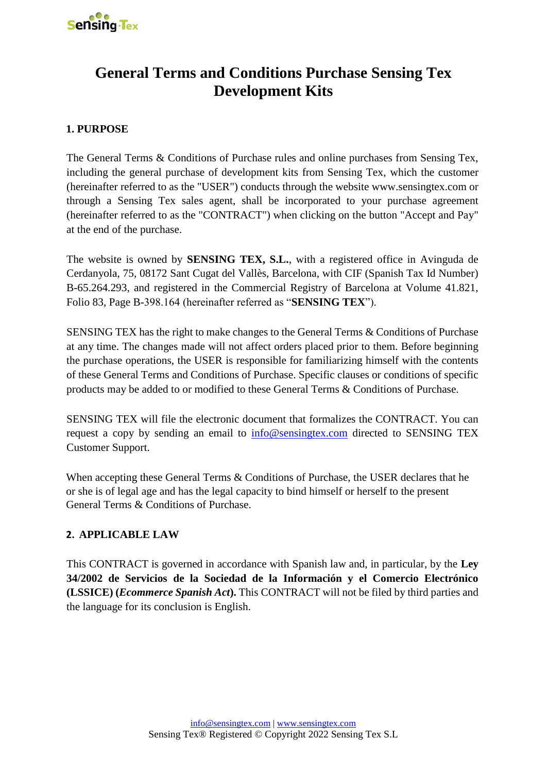

# **General Terms and Conditions Purchase Sensing Tex Development Kits**

# **1. PURPOSE**

The General Terms & Conditions of Purchase rules and online purchases from Sensing Tex, including the general purchase of development kits from Sensing Tex, which the customer (hereinafter referred to as the "USER") conducts through the website www.sensingtex.com or through a Sensing Tex sales agent, shall be incorporated to your purchase agreement (hereinafter referred to as the "CONTRACT") when clicking on the button "Accept and Pay" at the end of the purchase.

The website is owned by **SENSING TEX, S.L.**, with a registered office in Avinguda de Cerdanyola, 75, 08172 Sant Cugat del Vallès, Barcelona, with CIF (Spanish Tax Id Number) B-65.264.293, and registered in the Commercial Registry of Barcelona at Volume 41.821, Folio 83, Page B-398.164 (hereinafter referred as "**SENSING TEX**").

SENSING TEX has the right to make changes to the General Terms & Conditions of Purchase at any time. The changes made will not affect orders placed prior to them. Before beginning the purchase operations, the USER is responsible for familiarizing himself with the contents of these General Terms and Conditions of Purchase. Specific clauses or conditions of specific products may be added to or modified to these General Terms & Conditions of Purchase.

SENSING TEX will file the electronic document that formalizes the CONTRACT. You can request a copy by sending an email to  $\frac{info@sensingtextrm{error}}{info@sensingtextrm{error}}$  directed to SENSING TEX Customer Support.

When accepting these General Terms & Conditions of Purchase, the USER declares that he or she is of legal age and has the legal capacity to bind himself or herself to the present General Terms & Conditions of Purchase.

## **2. APPLICABLE LAW**

This CONTRACT is governed in accordance with Spanish law and, in particular, by the **Ley 34/2002 de Servicios de la Sociedad de la Información y el Comercio Electrónico (LSSICE) (***Ecommerce Spanish Act***).** This CONTRACT will not be filed by third parties and the language for its conclusion is English.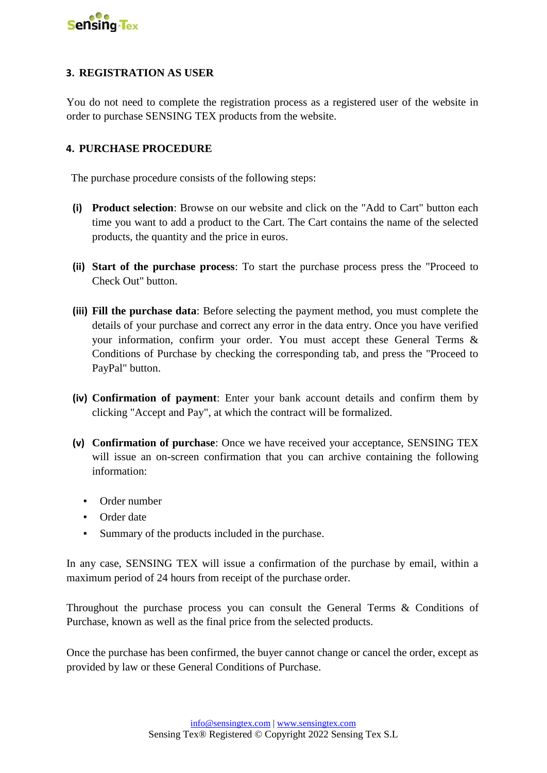

## **3. REGISTRATION AS USER**

You do not need to complete the registration process as a registered user of the website in order to purchase SENSING TEX products from the website.

#### **4. PURCHASE PROCEDURE**

The purchase procedure consists of the following steps:

- **(i) Product selection**: Browse on our website and click on the "Add to Cart" button each time you want to add a product to the Cart. The Cart contains the name of the selected products, the quantity and the price in euros.
- **(ii) Start of the purchase process**: To start the purchase process press the "Proceed to Check Out" button.
- **(iii) Fill the purchase data**: Before selecting the payment method, you must complete the details of your purchase and correct any error in the data entry. Once you have verified your information, confirm your order. You must accept these General Terms & Conditions of Purchase by checking the corresponding tab, and press the "Proceed to PayPal" button.
- **(iv) Confirmation of payment**: Enter your bank account details and confirm them by clicking "Accept and Pay", at which the contract will be formalized.
- **(v) Confirmation of purchase**: Once we have received your acceptance, SENSING TEX will issue an on-screen confirmation that you can archive containing the following information:
	- Order number
	- Order date
	- Summary of the products included in the purchase.

In any case, SENSING TEX will issue a confirmation of the purchase by email, within a maximum period of 24 hours from receipt of the purchase order.

Throughout the purchase process you can consult the General Terms & Conditions of Purchase, known as well as the final price from the selected products.

Once the purchase has been confirmed, the buyer cannot change or cancel the order, except as provided by law or these General Conditions of Purchase.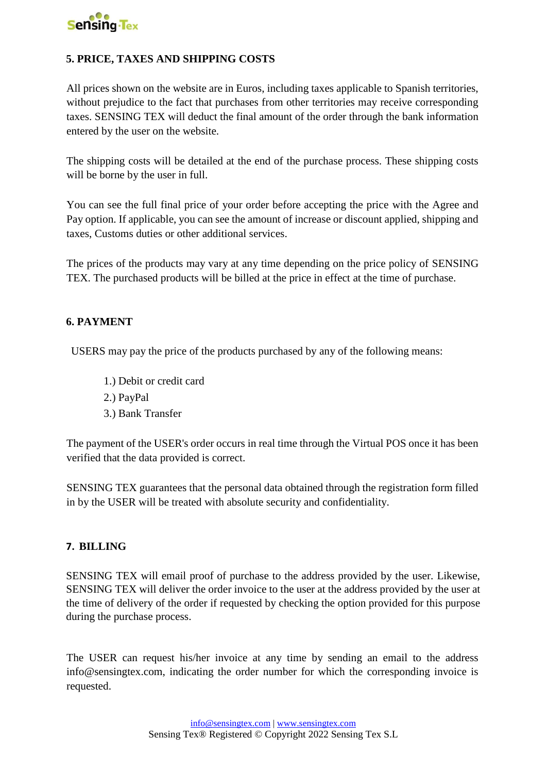

# **5. PRICE, TAXES AND SHIPPING COSTS**

All prices shown on the website are in Euros, including taxes applicable to Spanish territories, without prejudice to the fact that purchases from other territories may receive corresponding taxes. SENSING TEX will deduct the final amount of the order through the bank information entered by the user on the website.

The shipping costs will be detailed at the end of the purchase process. These shipping costs will be borne by the user in full.

You can see the full final price of your order before accepting the price with the Agree and Pay option. If applicable, you can see the amount of increase or discount applied, shipping and taxes, Customs duties or other additional services.

The prices of the products may vary at any time depending on the price policy of SENSING TEX. The purchased products will be billed at the price in effect at the time of purchase.

## **6. PAYMENT**

USERS may pay the price of the products purchased by any of the following means:

- 1.) Debit or credit card
- 2.) PayPal
- 3.) Bank Transfer

The payment of the USER's order occurs in real time through the Virtual POS once it has been verified that the data provided is correct.

SENSING TEX guarantees that the personal data obtained through the registration form filled in by the USER will be treated with absolute security and confidentiality.

#### **7. BILLING**

SENSING TEX will email proof of purchase to the address provided by the user. Likewise, SENSING TEX will deliver the order invoice to the user at the address provided by the user at the time of delivery of the order if requested by checking the option provided for this purpose during the purchase process.

The USER can request his/her invoice at any time by sending an email to the address info@sensingtex.com, indicating the order number for which the corresponding invoice is requested.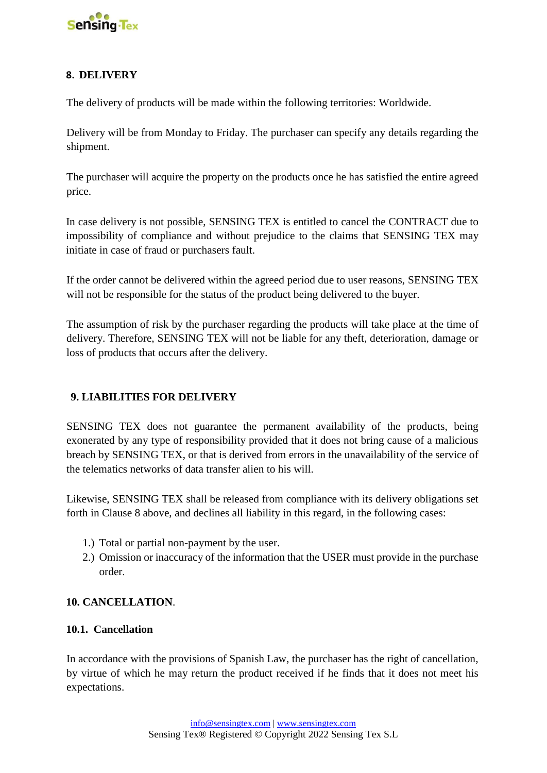

# **8. DELIVERY**

The delivery of products will be made within the following territories: Worldwide.

Delivery will be from Monday to Friday. The purchaser can specify any details regarding the shipment.

The purchaser will acquire the property on the products once he has satisfied the entire agreed price.

In case delivery is not possible, SENSING TEX is entitled to cancel the CONTRACT due to impossibility of compliance and without prejudice to the claims that SENSING TEX may initiate in case of fraud or purchasers fault.

If the order cannot be delivered within the agreed period due to user reasons, SENSING TEX will not be responsible for the status of the product being delivered to the buyer.

The assumption of risk by the purchaser regarding the products will take place at the time of delivery. Therefore, SENSING TEX will not be liable for any theft, deterioration, damage or loss of products that occurs after the delivery.

## **9. LIABILITIES FOR DELIVERY**

SENSING TEX does not guarantee the permanent availability of the products, being exonerated by any type of responsibility provided that it does not bring cause of a malicious breach by SENSING TEX, or that is derived from errors in the unavailability of the service of the telematics networks of data transfer alien to his will.

Likewise, SENSING TEX shall be released from compliance with its delivery obligations set forth in Clause 8 above, and declines all liability in this regard, in the following cases:

- 1.) Total or partial non-payment by the user.
- 2.) Omission or inaccuracy of the information that the USER must provide in the purchase order.

## **10. CANCELLATION**.

#### **10.1. Cancellation**

In accordance with the provisions of Spanish Law, the purchaser has the right of cancellation, by virtue of which he may return the product received if he finds that it does not meet his expectations.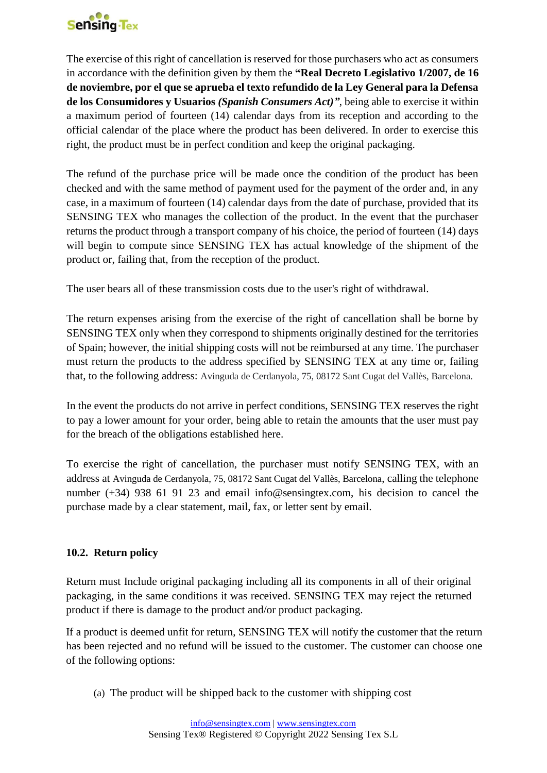

The exercise of this right of cancellation is reserved for those purchasers who act as consumers in accordance with the definition given by them the **"Real Decreto Legislativo 1/2007, de 16 de noviembre, por el que se aprueba el texto refundido de la Ley General para la Defensa de los Consumidores y Usuarios** *(Spanish Consumers Act)"*, being able to exercise it within a maximum period of fourteen (14) calendar days from its reception and according to the official calendar of the place where the product has been delivered. In order to exercise this right, the product must be in perfect condition and keep the original packaging.

The refund of the purchase price will be made once the condition of the product has been checked and with the same method of payment used for the payment of the order and, in any case, in a maximum of fourteen (14) calendar days from the date of purchase, provided that its SENSING TEX who manages the collection of the product. In the event that the purchaser returns the product through a transport company of his choice, the period of fourteen (14) days will begin to compute since SENSING TEX has actual knowledge of the shipment of the product or, failing that, from the reception of the product.

The user bears all of these transmission costs due to the user's right of withdrawal.

The return expenses arising from the exercise of the right of cancellation shall be borne by SENSING TEX only when they correspond to shipments originally destined for the territories of Spain; however, the initial shipping costs will not be reimbursed at any time. The purchaser must return the products to the address specified by SENSING TEX at any time or, failing that, to the following address: Avinguda de Cerdanyola, 75, 08172 Sant Cugat del Vallès, Barcelona.

In the event the products do not arrive in perfect conditions, SENSING TEX reserves the right to pay a lower amount for your order, being able to retain the amounts that the user must pay for the breach of the obligations established here.

To exercise the right of cancellation, the purchaser must notify SENSING TEX, with an address at Avinguda de Cerdanyola, 75, 08172 Sant Cugat del Vallès, Barcelona, calling the telephone number (+34) 938 61 91 23 and email info@sensingtex.com, his decision to cancel the purchase made by a clear statement, mail, fax, or letter sent by email.

# **10.2. Return policy**

Return must Include original packaging including all its components in all of their original packaging, in the same conditions it was received. SENSING TEX may reject the returned product if there is damage to the product and/or product packaging.

If a product is deemed unfit for return, SENSING TEX will notify the customer that the return has been rejected and no refund will be issued to the customer. The customer can choose one of the following options:

(a) The product will be shipped back to the customer with shipping cost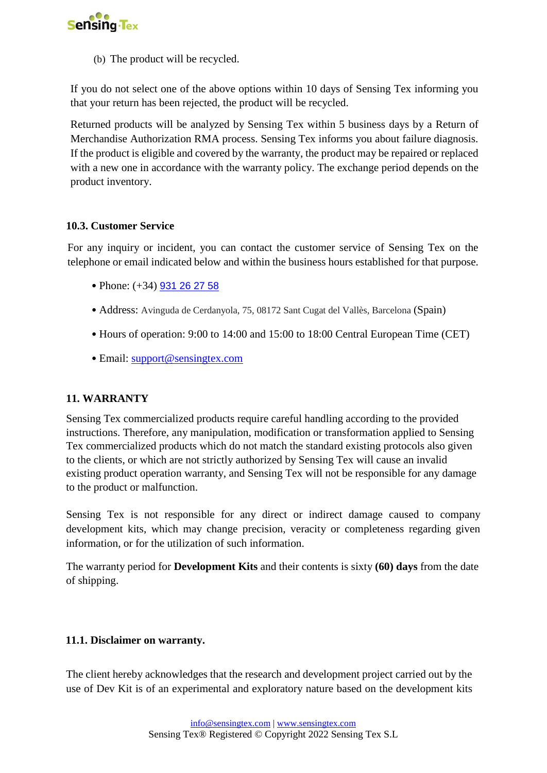

(b) The product will be recycled.

If you do not select one of the above options within 10 days of Sensing Tex informing you that your return has been rejected, the product will be recycled.

Returned products will be analyzed by Sensing Tex within 5 business days by a Return of Merchandise Authorization RMA process. Sensing Tex informs you about failure diagnosis. If the product is eligible and covered by the warranty, the product may be repaired or replaced with a new one in accordance with the warranty policy. The exchange period depends on the product inventory.

## **10.3. Customer Service**

For any inquiry or incident, you can contact the customer service of Sensing Tex on the telephone or email indicated below and within the business hours established for that purpose.

- Phone: (+34) [931 26 27 58](https://www.google.com/search?client=firefox-b-d&q=sensing+tex)
- Address: Avinguda de Cerdanyola, 75, 08172 Sant Cugat del Vallès, Barcelona (Spain)
- Hours of operation: 9:00 to 14:00 and 15:00 to 18:00 Central European Time (CET)
- Email: support@sensingtex.com

#### **11. WARRANTY**

Sensing Tex commercialized products require careful handling according to the provided instructions. Therefore, any manipulation, modification or transformation applied to Sensing Tex commercialized products which do not match the standard existing protocols also given to the clients, or which are not strictly authorized by Sensing Tex will cause an invalid existing product operation warranty, and Sensing Tex will not be responsible for any damage to the product or malfunction.

Sensing Tex is not responsible for any direct or indirect damage caused to company development kits, which may change precision, veracity or completeness regarding given information, or for the utilization of such information.

The warranty period for **Development Kits** and their contents is sixty **(60) days** from the date of shipping.

#### **11.1. Disclaimer on warranty.**

The client hereby acknowledges that the research and development project carried out by the use of Dev Kit is of an experimental and exploratory nature based on the development kits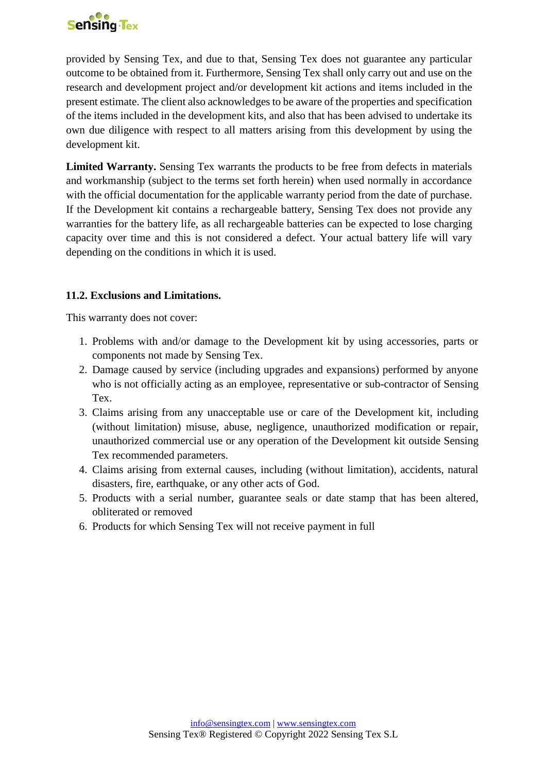

provided by Sensing Tex, and due to that, Sensing Tex does not guarantee any particular outcome to be obtained from it. Furthermore, Sensing Tex shall only carry out and use on the research and development project and/or development kit actions and items included in the present estimate. The client also acknowledges to be aware of the properties and specification of the items included in the development kits, and also that has been advised to undertake its own due diligence with respect to all matters arising from this development by using the development kit.

**Limited Warranty.** Sensing Tex warrants the products to be free from defects in materials and workmanship (subject to the terms set forth herein) when used normally in accordance with the official documentation for the applicable warranty period from the date of purchase. If the Development kit contains a rechargeable battery, Sensing Tex does not provide any warranties for the battery life, as all rechargeable batteries can be expected to lose charging capacity over time and this is not considered a defect. Your actual battery life will vary depending on the conditions in which it is used.

## **11.2. Exclusions and Limitations.**

This warranty does not cover:

- 1. Problems with and/or damage to the Development kit by using accessories, parts or components not made by Sensing Tex.
- 2. Damage caused by service (including upgrades and expansions) performed by anyone who is not officially acting as an employee, representative or sub-contractor of Sensing Tex.
- 3. Claims arising from any unacceptable use or care of the Development kit, including (without limitation) misuse, abuse, negligence, unauthorized modification or repair, unauthorized commercial use or any operation of the Development kit outside Sensing Tex recommended parameters.
- 4. Claims arising from external causes, including (without limitation), accidents, natural disasters, fire, earthquake, or any other acts of God.
- 5. Products with a serial number, guarantee seals or date stamp that has been altered, obliterated or removed
- 6. Products for which Sensing Tex will not receive payment in full